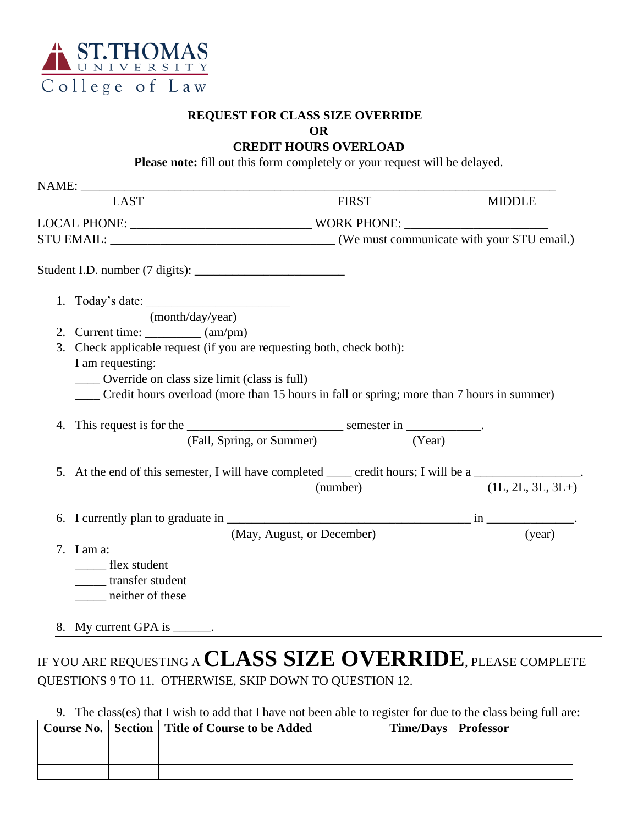

### **REQUEST FOR CLASS SIZE OVERRIDE**

**OR**

**CREDIT HOURS OVERLOAD**

Please note: fill out this form completely or your request will be delayed.

| <b>LAST</b>                                                                |                                                                                                       | <b>FIRST</b> | <b>MIDDLE</b>       |  |  |
|----------------------------------------------------------------------------|-------------------------------------------------------------------------------------------------------|--------------|---------------------|--|--|
|                                                                            |                                                                                                       |              |                     |  |  |
|                                                                            |                                                                                                       |              |                     |  |  |
|                                                                            |                                                                                                       |              |                     |  |  |
|                                                                            |                                                                                                       |              |                     |  |  |
| 1. Today's date: $\frac{\text{(month/day/year)}}{\text{(month/day/year)}}$ |                                                                                                       |              |                     |  |  |
| 2. Current time: $\_\_\_\_\_$ (am/pm)                                      |                                                                                                       |              |                     |  |  |
|                                                                            | 3. Check applicable request (if you are requesting both, check both):                                 |              |                     |  |  |
| I am requesting:                                                           |                                                                                                       |              |                     |  |  |
| Override on class size limit (class is full)                               |                                                                                                       |              |                     |  |  |
|                                                                            | Credit hours overload (more than 15 hours in fall or spring; more than 7 hours in summer)             |              |                     |  |  |
|                                                                            |                                                                                                       |              |                     |  |  |
|                                                                            |                                                                                                       |              |                     |  |  |
|                                                                            | (Fall, Spring, or Summer)                                                                             | (Year)       |                     |  |  |
|                                                                            |                                                                                                       |              |                     |  |  |
|                                                                            | 5. At the end of this semester, I will have completed _____ credit hours; I will be a ______________. | (number)     |                     |  |  |
|                                                                            |                                                                                                       |              | $(1L, 2L, 3L, 3L+)$ |  |  |
|                                                                            |                                                                                                       |              |                     |  |  |
| 7. I am a:                                                                 | (May, August, or December)                                                                            |              | (year)              |  |  |
| flex student                                                               |                                                                                                       |              |                     |  |  |
| transfer student                                                           |                                                                                                       |              |                     |  |  |

# IF YOU ARE REQUESTING A **CLASS SIZE OVERRIDE**, PLEASE COMPLETE QUESTIONS 9 TO 11. OTHERWISE, SKIP DOWN TO QUESTION 12.

## 9. The class(es) that I wish to add that I have not been able to register for due to the class being full are:

|  | Course No.   Section   Title of Course to be Added | Time/Days   Professor |  |
|--|----------------------------------------------------|-----------------------|--|
|  |                                                    |                       |  |
|  |                                                    |                       |  |
|  |                                                    |                       |  |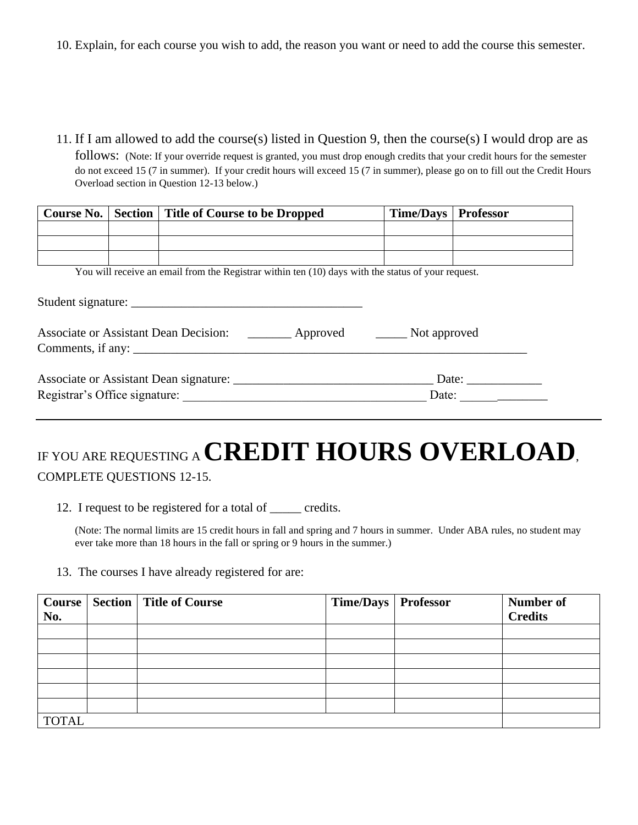10. Explain, for each course you wish to add, the reason you want or need to add the course this semester.

11. If I am allowed to add the course(s) listed in Question 9, then the course(s) I would drop are as

follows: (Note: If your override request is granted, you must drop enough credits that your credit hours for the semester do not exceed 15 (7 in summer). If your credit hours will exceed 15 (7 in summer), please go on to fill out the Credit Hours Overload section in Question 12-13 below.)

| Course No.                                                                    |  | Section   Title of Course to be Dropped                                                            | <b>Time/Days</b> | <b>Professor</b>             |
|-------------------------------------------------------------------------------|--|----------------------------------------------------------------------------------------------------|------------------|------------------------------|
|                                                                               |  |                                                                                                    |                  |                              |
|                                                                               |  |                                                                                                    |                  |                              |
|                                                                               |  |                                                                                                    |                  |                              |
|                                                                               |  | You will receive an email from the Registrar within ten (10) days with the status of your request. |                  |                              |
|                                                                               |  |                                                                                                    |                  |                              |
|                                                                               |  |                                                                                                    |                  |                              |
|                                                                               |  |                                                                                                    |                  |                              |
| Associate or Assistant Dean Decision: _________ Approved _______ Not approved |  |                                                                                                    |                  |                              |
|                                                                               |  | Comments, if any:                                                                                  |                  |                              |
|                                                                               |  |                                                                                                    |                  |                              |
|                                                                               |  |                                                                                                    |                  |                              |
|                                                                               |  |                                                                                                    |                  | Date: $\qquad \qquad \qquad$ |
|                                                                               |  |                                                                                                    |                  |                              |

# IF YOU ARE REQUESTING A **CREDIT HOURS OVERLOAD**, COMPLETE QUESTIONS 12-15.

12. I request to be registered for a total of \_\_\_\_\_ credits.

(Note: The normal limits are 15 credit hours in fall and spring and 7 hours in summer. Under ABA rules, no student may ever take more than 18 hours in the fall or spring or 9 hours in the summer.)

13. The courses I have already registered for are:

| <b>Course</b> |  | <b>Section   Title of Course</b> | Time/Days   Professor |  | Number of      |
|---------------|--|----------------------------------|-----------------------|--|----------------|
| No.           |  |                                  |                       |  | <b>Credits</b> |
|               |  |                                  |                       |  |                |
|               |  |                                  |                       |  |                |
|               |  |                                  |                       |  |                |
|               |  |                                  |                       |  |                |
|               |  |                                  |                       |  |                |
|               |  |                                  |                       |  |                |
| <b>TOTAL</b>  |  |                                  |                       |  |                |